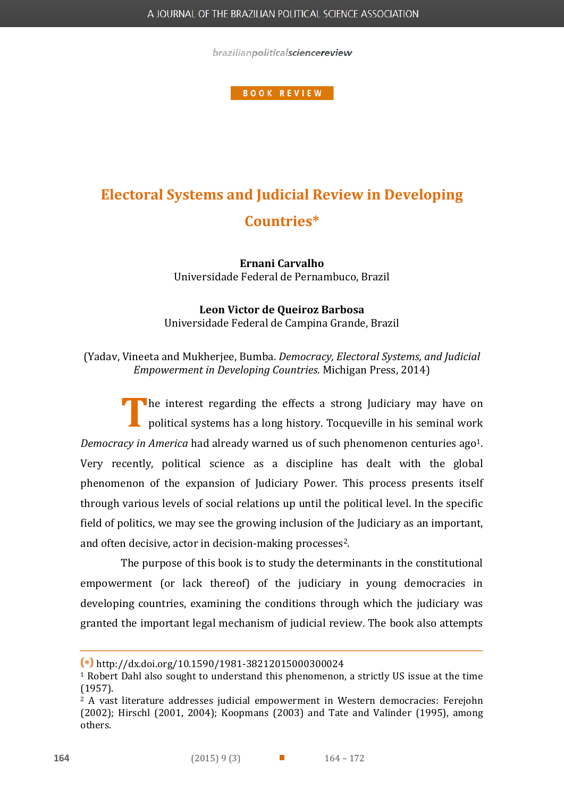brazilianpoliticalsciencereview

**BOOK REVIEW** 

## **Electoral Systems and Judicial Review in Developing Countries\***

**Ernani Carvalho** Universidade Federal de Pernambuco, Brazil

**Leon Victor de Queiroz Barbosa** Universidade Federal de Campina Grande, Brazil

(Yadav, Vineeta and Mukherjee, Bumba. *Democracy, Electoral Systems, and Judicial Empowerment in Developing Countries*. Michigan Press, 2014)

The interest regarding the effects a strong Judiciary may have on political systems has a long history. Tocqueville in his seminal work political systems has a long history. Tocqueville in his seminal work *Democracy in America* had already warned us of such phenomenon centuries ago<sup>1</sup>. Very recently, political science as a discipline has dealt with the global phenomenon of the expansion of Judiciary Power. This process presents itself through various levels of social relations up until the political level. In the specific field of politics, we may see the growing inclusion of the Judiciary as an important, and often decisive, actor in decision-making processes<sup>2</sup>.

The purpose of this book is to study the determinants in the constitutional empowerment (or lack thereof) of the judiciary in young democracies in developing countries, examining the conditions through which the judiciary was granted the important legal mechanism of judicial review. The book also attempts

 $\overline{a}$ 

**<sup>\*</sup>** http://dx.doi.org/10.1590/1981-38212015000300024

<sup>1</sup> Robert Dahl also sought to understand this phenomenon, a strictly US issue at the time (1957).

<sup>2</sup> A vast literature addresses judicial empowerment in Western democracies: Ferejohn (2002); Hirschl (2001, 2004); Koopmans (2003) and Tate and Valinder (1995), among others.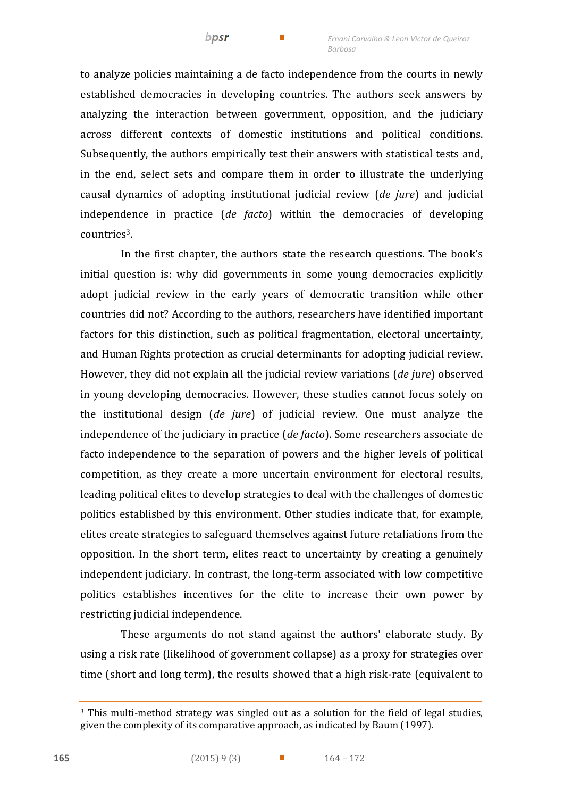to analyze policies maintaining a de facto independence from the courts in newly established democracies in developing countries. The authors seek answers by analyzing the interaction between government, opposition, and the judiciary across different contexts of domestic institutions and political conditions. Subsequently, the authors empirically test their answers with statistical tests and, in the end, select sets and compare them in order to illustrate the underlying causal dynamics of adopting institutional judicial review (*de jure*) and judicial independence in practice (*de facto*) within the democracies of developing countries3.

In the first chapter, the authors state the research questions. The book's initial question is: why did governments in some young democracies explicitly adopt judicial review in the early years of democratic transition while other countries did not? According to the authors, researchers have identified important factors for this distinction, such as political fragmentation, electoral uncertainty, and Human Rights protection as crucial determinants for adopting judicial review. However, they did not explain all the judicial review variations (*de jure*) observed in young developing democracies. However, these studies cannot focus solely on the institutional design (*de jure*) of judicial review. One must analyze the independence of the judiciary in practice (*de facto*). Some researchers associate de facto independence to the separation of powers and the higher levels of political competition, as they create a more uncertain environment for electoral results, leading political elites to develop strategies to deal with the challenges of domestic politics established by this environment. Other studies indicate that, for example, elites create strategies to safeguard themselves against future retaliations from the opposition. In the short term, elites react to uncertainty by creating a genuinely independent judiciary. In contrast, the long-term associated with low competitive politics establishes incentives for the elite to increase their own power by restricting judicial independence.

These arguments do not stand against the authors' elaborate study. By using a risk rate (likelihood of government collapse) as a proxy for strategies over time (short and long term), the results showed that a high risk-rate (equivalent to

j

<sup>3</sup> This multi-method strategy was singled out as a solution for the field of legal studies, given the complexity of its comparative approach, as indicated by Baum (1997).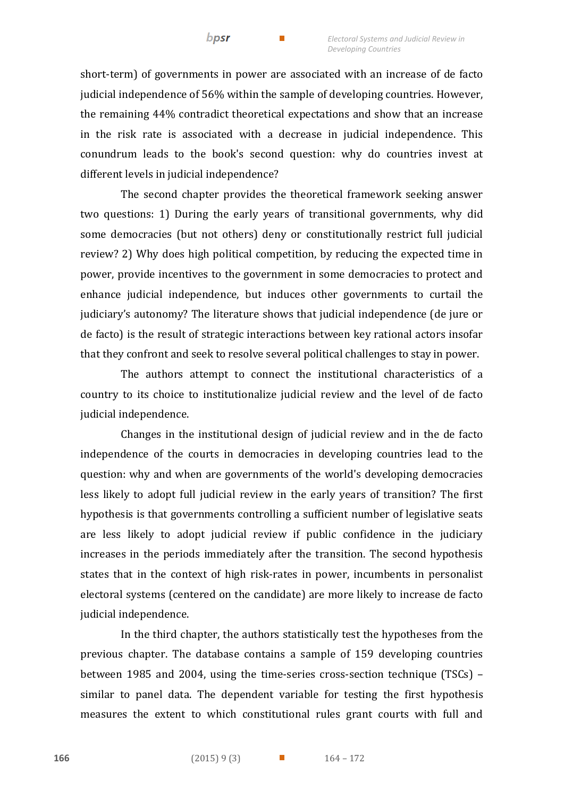short-term) of governments in power are associated with an increase of de facto judicial independence of 56% within the sample of developing countries. However, the remaining 44% contradict theoretical expectations and show that an increase in the risk rate is associated with a decrease in judicial independence. This conundrum leads to the book's second question: why do countries invest at different levels in judicial independence?

The second chapter provides the theoretical framework seeking answer two questions: 1) During the early years of transitional governments, why did some democracies (but not others) deny or constitutionally restrict full judicial review? 2) Why does high political competition, by reducing the expected time in power, provide incentives to the government in some democracies to protect and enhance judicial independence, but induces other governments to curtail the judiciary's autonomy? The literature shows that judicial independence (de jure or de facto) is the result of strategic interactions between key rational actors insofar that they confront and seek to resolve several political challenges to stay in power.

The authors attempt to connect the institutional characteristics of a country to its choice to institutionalize judicial review and the level of de facto judicial independence.

Changes in the institutional design of judicial review and in the de facto independence of the courts in democracies in developing countries lead to the question: why and when are governments of the world's developing democracies less likely to adopt full judicial review in the early years of transition? The first hypothesis is that governments controlling a sufficient number of legislative seats are less likely to adopt judicial review if public confidence in the judiciary increases in the periods immediately after the transition. The second hypothesis states that in the context of high risk-rates in power, incumbents in personalist electoral systems (centered on the candidate) are more likely to increase de facto judicial independence.

In the third chapter, the authors statistically test the hypotheses from the previous chapter. The database contains a sample of 159 developing countries between 1985 and 2004, using the time-series cross-section technique (TSCs) – similar to panel data. The dependent variable for testing the first hypothesis measures the extent to which constitutional rules grant courts with full and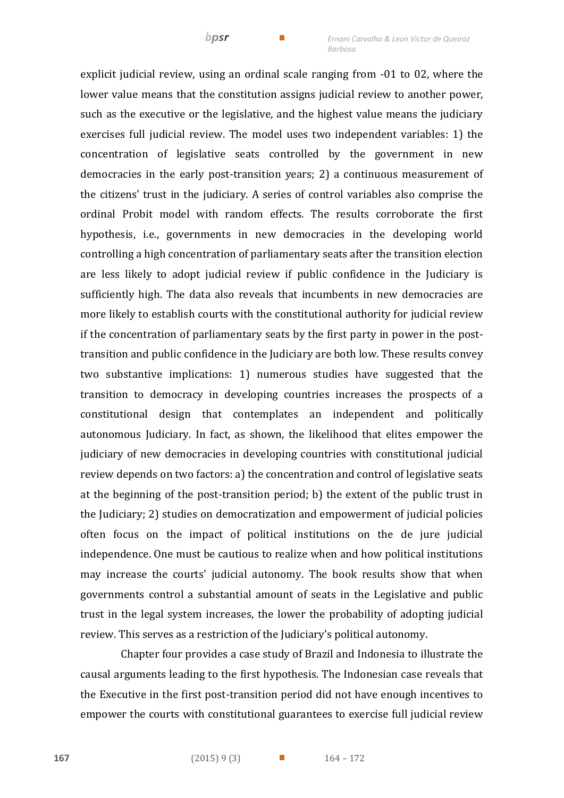explicit judicial review, using an ordinal scale ranging from -01 to 02, where the lower value means that the constitution assigns judicial review to another power, such as the executive or the legislative, and the highest value means the judiciary exercises full judicial review. The model uses two independent variables: 1) the concentration of legislative seats controlled by the government in new democracies in the early post-transition years; 2) a continuous measurement of the citizens' trust in the judiciary. A series of control variables also comprise the ordinal Probit model with random effects. The results corroborate the first hypothesis, i.e., governments in new democracies in the developing world controlling a high concentration of parliamentary seats after the transition election are less likely to adopt judicial review if public confidence in the Judiciary is sufficiently high. The data also reveals that incumbents in new democracies are more likely to establish courts with the constitutional authority for judicial review if the concentration of parliamentary seats by the first party in power in the posttransition and public confidence in the Judiciary are both low. These results convey two substantive implications: 1) numerous studies have suggested that the transition to democracy in developing countries increases the prospects of a constitutional design that contemplates an independent and politically autonomous Judiciary. In fact, as shown, the likelihood that elites empower the judiciary of new democracies in developing countries with constitutional judicial review depends on two factors: a) the concentration and control of legislative seats at the beginning of the post-transition period; b) the extent of the public trust in the Judiciary; 2) studies on democratization and empowerment of judicial policies often focus on the impact of political institutions on the de jure judicial independence. One must be cautious to realize when and how political institutions may increase the courts' judicial autonomy. The book results show that when governments control a substantial amount of seats in the Legislative and public trust in the legal system increases, the lower the probability of adopting judicial review. This serves as a restriction of the Judiciary's political autonomy.

bpsr

Chapter four provides a case study of Brazil and Indonesia to illustrate the causal arguments leading to the first hypothesis. The Indonesian case reveals that the Executive in the first post-transition period did not have enough incentives to empower the courts with constitutional guarantees to exercise full judicial review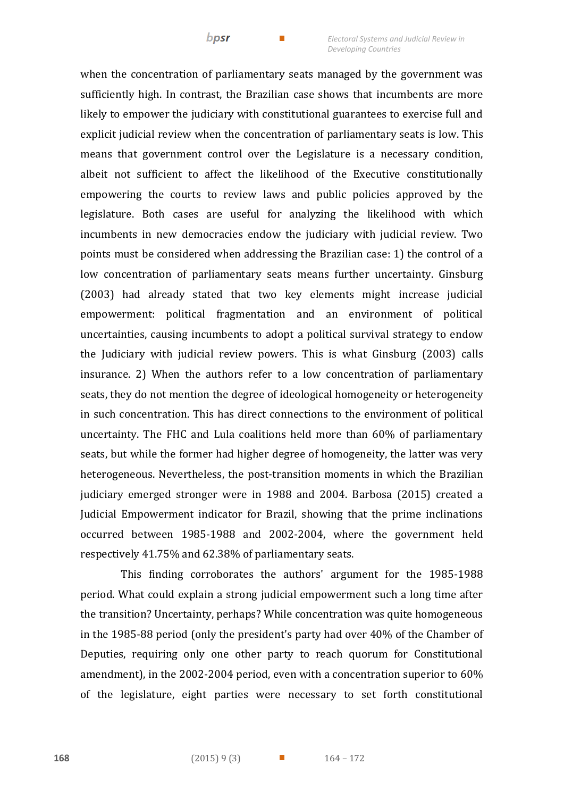when the concentration of parliamentary seats managed by the government was sufficiently high. In contrast, the Brazilian case shows that incumbents are more likely to empower the judiciary with constitutional guarantees to exercise full and explicit judicial review when the concentration of parliamentary seats is low. This means that government control over the Legislature is a necessary condition, albeit not sufficient to affect the likelihood of the Executive constitutionally empowering the courts to review laws and public policies approved by the legislature. Both cases are useful for analyzing the likelihood with which incumbents in new democracies endow the judiciary with judicial review. Two points must be considered when addressing the Brazilian case: 1) the control of a low concentration of parliamentary seats means further uncertainty. Ginsburg (2003) had already stated that two key elements might increase judicial empowerment: political fragmentation and an environment of political uncertainties, causing incumbents to adopt a political survival strategy to endow the Judiciary with judicial review powers. This is what Ginsburg (2003) calls insurance. 2) When the authors refer to a low concentration of parliamentary seats, they do not mention the degree of ideological homogeneity or heterogeneity in such concentration. This has direct connections to the environment of political uncertainty. The FHC and Lula coalitions held more than 60% of parliamentary seats, but while the former had higher degree of homogeneity, the latter was very heterogeneous. Nevertheless, the post-transition moments in which the Brazilian judiciary emerged stronger were in 1988 and 2004. Barbosa (2015) created a Judicial Empowerment indicator for Brazil, showing that the prime inclinations occurred between 1985-1988 and 2002-2004, where the government held respectively 41.75% and 62.38% of parliamentary seats.

This finding corroborates the authors' argument for the 1985-1988 period. What could explain a strong judicial empowerment such a long time after the transition? Uncertainty, perhaps? While concentration was quite homogeneous in the 1985-88 period (only the president's party had over 40% of the Chamber of Deputies, requiring only one other party to reach quorum for Constitutional amendment), in the 2002-2004 period, even with a concentration superior to 60% of the legislature, eight parties were necessary to set forth constitutional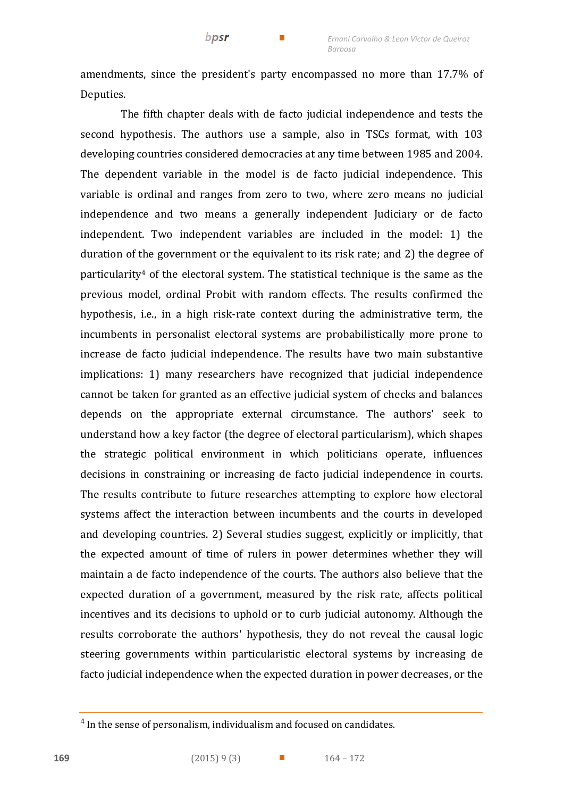amendments, since the president's party encompassed no more than 17.7% of Deputies.

bpsr

The fifth chapter deals with de facto judicial independence and tests the second hypothesis. The authors use a sample, also in TSCs format, with 103 developing countries considered democracies at any time between 1985 and 2004. The dependent variable in the model is de facto judicial independence. This variable is ordinal and ranges from zero to two, where zero means no judicial independence and two means a generally independent Judiciary or de facto independent. Two independent variables are included in the model: 1) the duration of the government or the equivalent to its risk rate; and 2) the degree of particularity<sup>4</sup> of the electoral system. The statistical technique is the same as the previous model, ordinal Probit with random effects. The results confirmed the hypothesis, i.e., in a high risk-rate context during the administrative term, the incumbents in personalist electoral systems are probabilistically more prone to increase de facto judicial independence. The results have two main substantive implications: 1) many researchers have recognized that judicial independence cannot be taken for granted as an effective judicial system of checks and balances depends on the appropriate external circumstance. The authors' seek to understand how a key factor (the degree of electoral particularism), which shapes the strategic political environment in which politicians operate, influences decisions in constraining or increasing de facto judicial independence in courts. The results contribute to future researches attempting to explore how electoral systems affect the interaction between incumbents and the courts in developed and developing countries. 2) Several studies suggest, explicitly or implicitly, that the expected amount of time of rulers in power determines whether they will maintain a de facto independence of the courts. The authors also believe that the expected duration of a government, measured by the risk rate, affects political incentives and its decisions to uphold or to curb judicial autonomy. Although the results corroborate the authors' hypothesis, they do not reveal the causal logic steering governments within particularistic electoral systems by increasing de facto judicial independence when the expected duration in power decreases, or the

 $\overline{a}$ 

 $4$  In the sense of personalism, individualism and focused on candidates.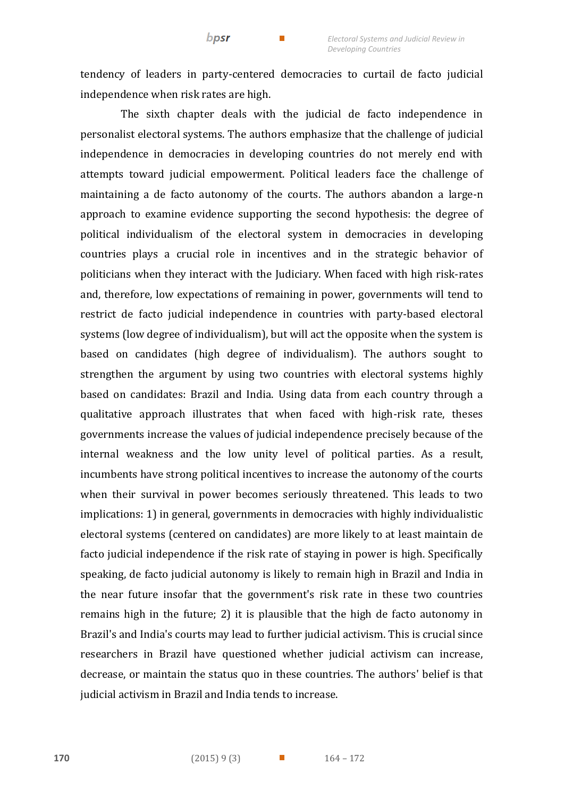tendency of leaders in party-centered democracies to curtail de facto judicial independence when risk rates are high.

 $bpsr$ 

The sixth chapter deals with the judicial de facto independence in personalist electoral systems. The authors emphasize that the challenge of judicial independence in democracies in developing countries do not merely end with attempts toward judicial empowerment. Political leaders face the challenge of maintaining a de facto autonomy of the courts. The authors abandon a large-n approach to examine evidence supporting the second hypothesis: the degree of political individualism of the electoral system in democracies in developing countries plays a crucial role in incentives and in the strategic behavior of politicians when they interact with the Judiciary. When faced with high risk-rates and, therefore, low expectations of remaining in power, governments will tend to restrict de facto judicial independence in countries with party-based electoral systems (low degree of individualism), but will act the opposite when the system is based on candidates (high degree of individualism). The authors sought to strengthen the argument by using two countries with electoral systems highly based on candidates: Brazil and India. Using data from each country through a qualitative approach illustrates that when faced with high-risk rate, theses governments increase the values of judicial independence precisely because of the internal weakness and the low unity level of political parties. As a result, incumbents have strong political incentives to increase the autonomy of the courts when their survival in power becomes seriously threatened. This leads to two implications: 1) in general, governments in democracies with highly individualistic electoral systems (centered on candidates) are more likely to at least maintain de facto judicial independence if the risk rate of staying in power is high. Specifically speaking, de facto judicial autonomy is likely to remain high in Brazil and India in the near future insofar that the government's risk rate in these two countries remains high in the future; 2) it is plausible that the high de facto autonomy in Brazil's and India's courts may lead to further judicial activism. This is crucial since researchers in Brazil have questioned whether judicial activism can increase, decrease, or maintain the status quo in these countries. The authors' belief is that judicial activism in Brazil and India tends to increase.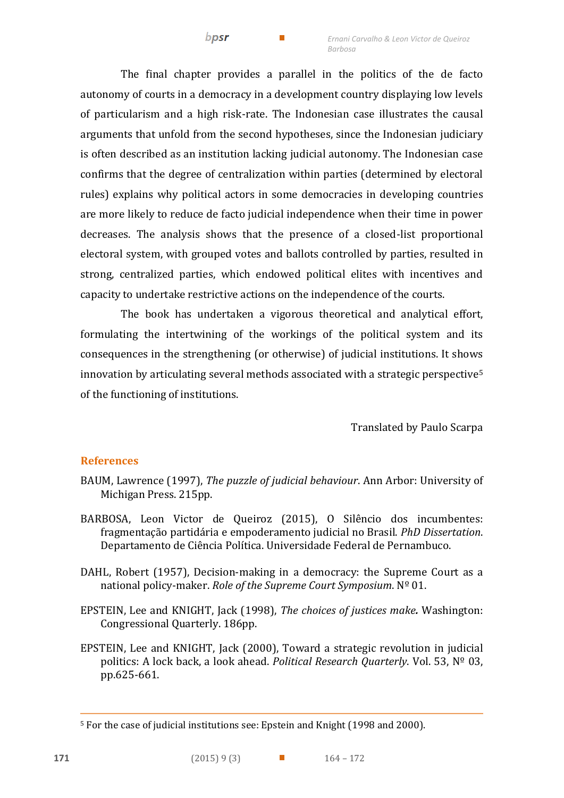The final chapter provides a parallel in the politics of the de facto autonomy of courts in a democracy in a development country displaying low levels of particularism and a high risk-rate. The Indonesian case illustrates the causal arguments that unfold from the second hypotheses, since the Indonesian judiciary is often described as an institution lacking judicial autonomy. The Indonesian case confirms that the degree of centralization within parties (determined by electoral rules) explains why political actors in some democracies in developing countries are more likely to reduce de facto judicial independence when their time in power decreases. The analysis shows that the presence of a closed-list proportional electoral system, with grouped votes and ballots controlled by parties, resulted in strong, centralized parties, which endowed political elites with incentives and capacity to undertake restrictive actions on the independence of the courts.

bpsr

The book has undertaken a vigorous theoretical and analytical effort, formulating the intertwining of the workings of the political system and its consequences in the strengthening (or otherwise) of judicial institutions. It shows innovation by articulating several methods associated with a strategic perspective<sup>5</sup> of the functioning of institutions.

Translated by Paulo Scarpa

## **References**

- BAUM, Lawrence (1997), *The puzzle of judicial behaviour*. Ann Arbor: University of Michigan Press. 215pp.
- BARBOSA, Leon Victor de Queiroz (2015), O Silêncio dos incumbentes: fragmentação partidária e empoderamento judicial no Brasil. *PhD Dissertation*. Departamento de Ciência Política. Universidade Federal de Pernambuco.
- DAHL, Robert (1957), Decision-making in a democracy: the Supreme Court as a national policy-maker. *Role of the Supreme Court Symposium*. Nº 01.
- EPSTEIN, Lee and KNIGHT, Jack (1998), *The choices of justices make.* Washington: Congressional Quarterly. 186pp.
- EPSTEIN, Lee and KNIGHT, Jack (2000), Toward a strategic revolution in judicial politics: A lock back, a look ahead. *Political Research Quarterly*. Vol. 53, Nº 03, pp.625-661.

 $\overline{a}$ 

<sup>5</sup> For the case of judicial institutions see: Epstein and Knight (1998 and 2000).